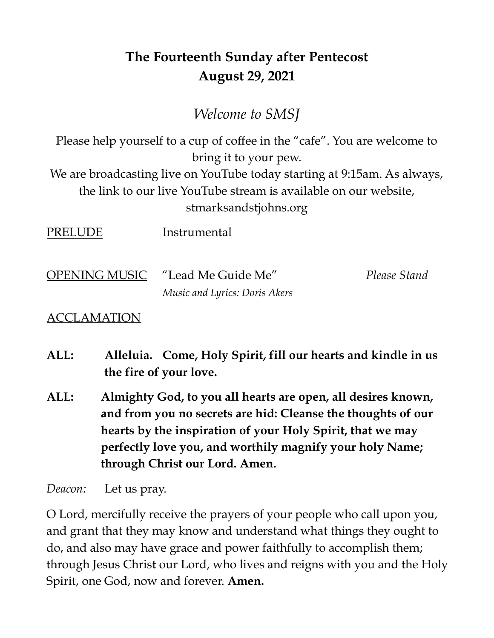# **The Fourteenth Sunday after Pentecost August 29, 2021**

*Welcome to SMSJ*

Please help yourself to a cup of coffee in the "cafe". You are welcome to bring it to your pew. We are broadcasting live on YouTube today starting at 9:15am. As always, the link to our live YouTube stream is available on our website, stmarksandstjohns.org

PRELUDE Instrumental

| OPENING MUSIC | "Lead Me Guide Me"            | Please Stand |
|---------------|-------------------------------|--------------|
|               | Music and Lyrics: Doris Akers |              |

#### ACCLAMATION

- **ALL: Alleluia. Come, Holy Spirit, fill our hearts and kindle in us the fire of your love.**
- **ALL: Almighty God, to you all hearts are open, all desires known, and from you no secrets are hid: Cleanse the thoughts of our hearts by the inspiration of your Holy Spirit, that we may perfectly love you, and worthily magnify your holy Name; through Christ our Lord. Amen.**

*Deacon:* Let us pray.

O Lord, mercifully receive the prayers of your people who call upon you, and grant that they may know and understand what things they ought to do, and also may have grace and power faithfully to accomplish them; through Jesus Christ our Lord, who lives and reigns with you and the Holy Spirit, one God, now and forever. **Amen.**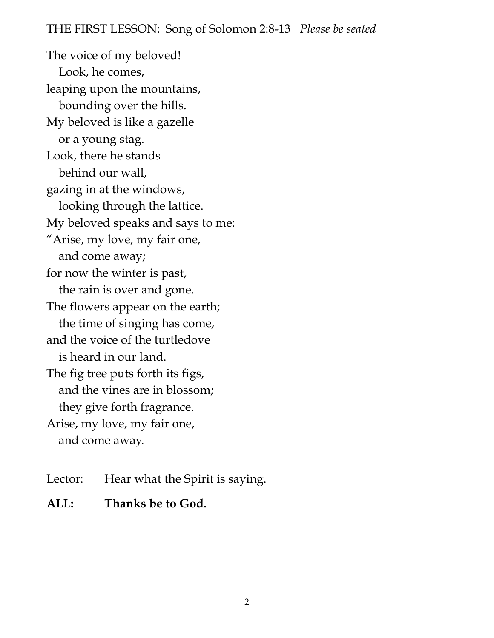The voice of my beloved! Look, he comes, leaping upon the mountains, bounding over the hills. My beloved is like a gazelle or a young stag. Look, there he stands behind our wall, gazing in at the windows, looking through the lattice. My beloved speaks and says to me: "Arise, my love, my fair one, and come away; for now the winter is past, the rain is over and gone. The flowers appear on the earth; the time of singing has come, and the voice of the turtledove is heard in our land. The fig tree puts forth its figs, and the vines are in blossom; they give forth fragrance. Arise, my love, my fair one, and come away.

Lector: Hear what the Spirit is saying.

#### **ALL: Thanks be to God.**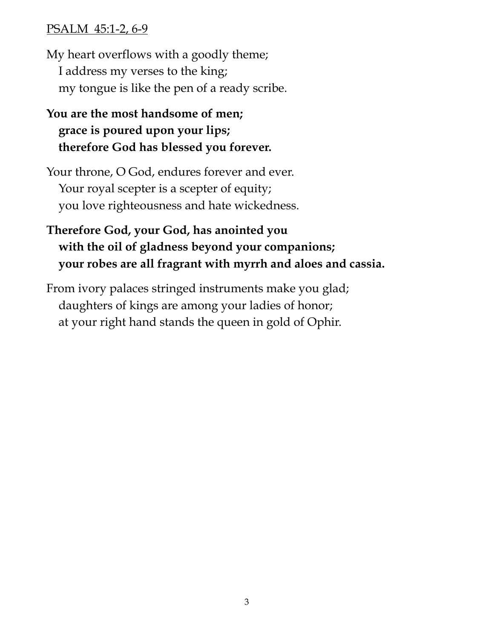#### PSALM 45:1-2, 6-9

My heart overflows with a goodly theme; I address my verses to the king; my tongue is like the pen of a ready scribe.

## **You are the most handsome of men; grace is poured upon your lips; therefore God has blessed you forever.**

Your throne, O God, endures forever and ever. Your royal scepter is a scepter of equity; you love righteousness and hate wickedness.

# **Therefore God, your God, has anointed you with the oil of gladness beyond your companions; your robes are all fragrant with myrrh and aloes and cassia.**

From ivory palaces stringed instruments make you glad; daughters of kings are among your ladies of honor; at your right hand stands the queen in gold of Ophir.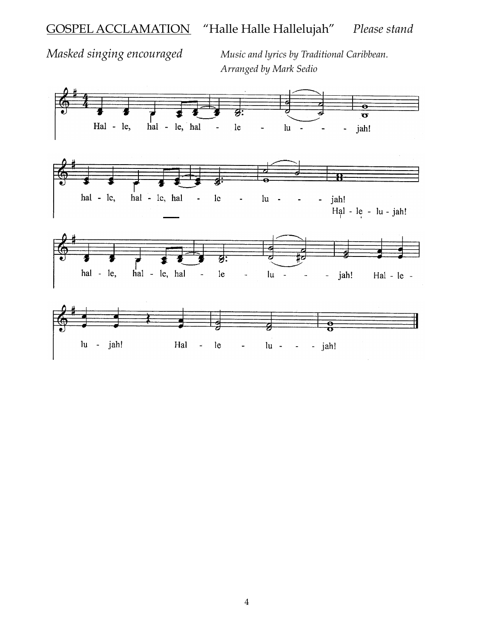## GOSPEL ACCLAMATION "Halle Halle Hallelujah" *Please stand*

*Masked singing encouraged Music and lyrics by Traditional Caribbean. Arranged by Mark Sedio*

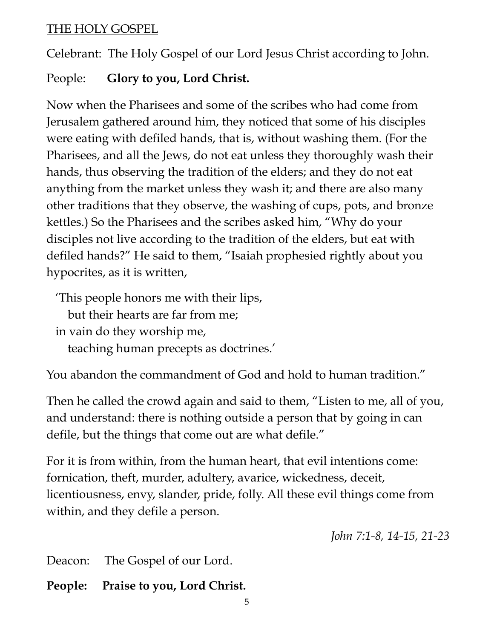#### THE HOLY GOSPEL

Celebrant: The Holy Gospel of our Lord Jesus Christ according to John.

## People: **Glory to you, Lord Christ.**

Now when the Pharisees and some of the scribes who had come from Jerusalem gathered around him, they noticed that some of his disciples were eating with defiled hands, that is, without washing them. (For the Pharisees, and all the Jews, do not eat unless they thoroughly wash their hands, thus observing the tradition of the elders; and they do not eat anything from the market unless they wash it; and there are also many other traditions that they observe, the washing of cups, pots, and bronze kettles.) So the Pharisees and the scribes asked him, "Why do your disciples not live according to the tradition of the elders, but eat with defiled hands?" He said to them, "Isaiah prophesied rightly about you hypocrites, as it is written,

'This people honors me with their lips, but their hearts are far from me; in vain do they worship me, teaching human precepts as doctrines.'

You abandon the commandment of God and hold to human tradition."

Then he called the crowd again and said to them, "Listen to me, all of you, and understand: there is nothing outside a person that by going in can defile, but the things that come out are what defile."

For it is from within, from the human heart, that evil intentions come: fornication, theft, murder, adultery, avarice, wickedness, deceit, licentiousness, envy, slander, pride, folly. All these evil things come from within, and they defile a person.

*John 7:1-8, 14-15, 21-23*

Deacon: The Gospel of our Lord.

**People: Praise to you, Lord Christ.**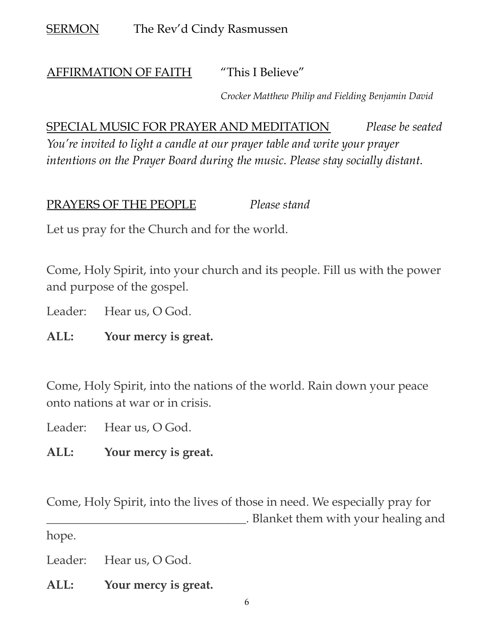SERMON The Rev'd Cindy Rasmussen

#### AFFIRMATION OF FAITH "This I Believe"

*Crocker Matthew Philip and Fielding Benjamin David*

SPECIAL MUSIC FOR PRAYER AND MEDITATION *Please be seated You're invited to light a candle at our prayer table and write your prayer intentions on the Prayer Board during the music. Please stay socially distant.*

PRAYERS OF THE PEOPLE *Please stand*

Let us pray for the Church and for the world.

Come, Holy Spirit, into your church and its people. Fill us with the power and purpose of the gospel.

Leader: Hear us, O God.

**ALL: Your mercy is great.**

Come, Holy Spirit, into the nations of the world. Rain down your peace onto nations at war or in crisis.

Leader: Hear us, O God.

#### **ALL: Your mercy is great.**

Come, Holy Spirit, into the lives of those in need. We especially pray for \_\_\_\_\_\_\_\_\_\_\_\_\_\_\_\_\_\_\_\_\_\_\_\_\_\_\_\_\_\_\_\_\_. Blanket them with your healing and

hope.

Leader: Hear us, O God.

**ALL: Your mercy is great.**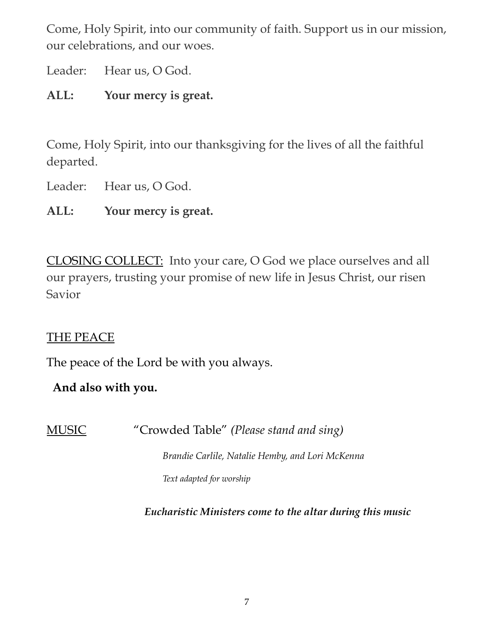Come, Holy Spirit, into our community of faith. Support us in our mission, our celebrations, and our woes.

Leader: Hear us, O God.

**ALL: Your mercy is great.**

Come, Holy Spirit, into our thanksgiving for the lives of all the faithful departed.

Leader: Hear us, O God.

**ALL: Your mercy is great.**

CLOSING COLLECT: Into your care, O God we place ourselves and all our prayers, trusting your promise of new life in Jesus Christ, our risen Savior

## THE PEACE

The peace of the Lord be with you always.

#### **And also with you.**

MUSIC "Crowded Table" *(Please stand and sing)*

*Brandie Carlile, Natalie Hemby, and Lori McKenna Text adapted for worship*

*Eucharistic Ministers come to the altar during this music*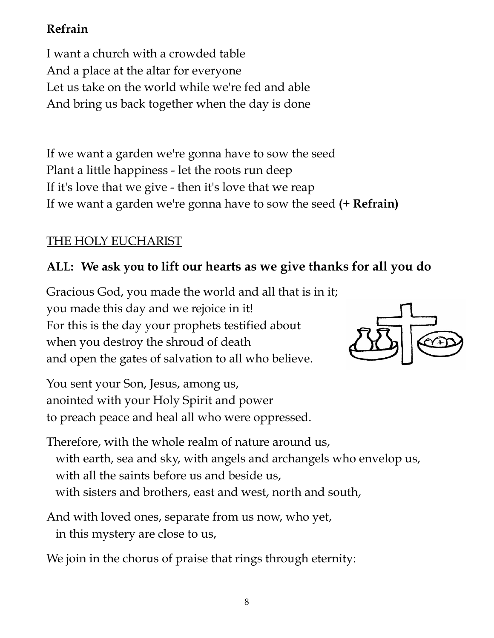# **Refrain**

I want a church with a crowded table And a place at the altar for everyone Let us take on the world while we're fed and able And bring us back together when the day is done

If we want a garden we're gonna have to sow the seed Plant a little happiness - let the roots run deep If it's love that we give - then it's love that we reap If we want a garden we're gonna have to sow the seed **(+ Refrain)**

# THE HOLY EUCHARIST

# **ALL: We ask you to lift our hearts as we give thanks for all you do**

Gracious God, you made the world and all that is in it; you made this day and we rejoice in it! For this is the day your prophets testified about when you destroy the shroud of death and open the gates of salvation to all who believe.



You sent your Son, Jesus, among us, anointed with your Holy Spirit and power to preach peace and heal all who were oppressed.

Therefore, with the whole realm of nature around us, with earth, sea and sky, with angels and archangels who envelop us, with all the saints before us and beside us. with sisters and brothers, east and west, north and south,

And with loved ones, separate from us now, who yet, in this mystery are close to us,

We join in the chorus of praise that rings through eternity: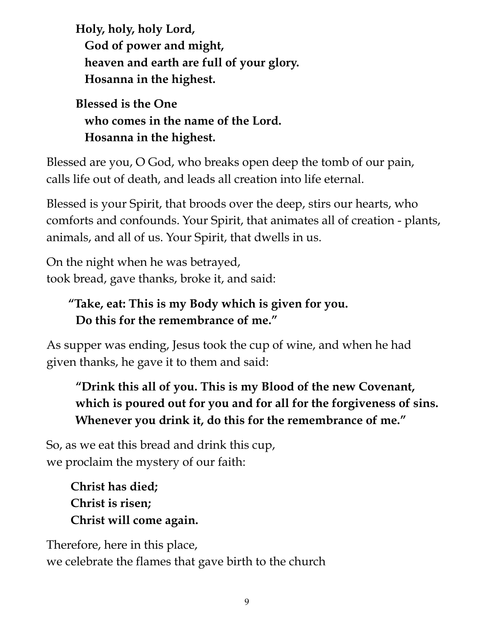**Holy, holy, holy Lord, God of power and might, heaven and earth are full of your glory. Hosanna in the highest.**

# **Blessed is the One who comes in the name of the Lord. Hosanna in the highest.**

Blessed are you, O God, who breaks open deep the tomb of our pain, calls life out of death, and leads all creation into life eternal.

Blessed is your Spirit, that broods over the deep, stirs our hearts, who comforts and confounds. Your Spirit, that animates all of creation - plants, animals, and all of us. Your Spirit, that dwells in us.

On the night when he was betrayed, took bread, gave thanks, broke it, and said:

# **"Take, eat: This is my Body which is given for you. Do this for the remembrance of me."**

As supper was ending, Jesus took the cup of wine, and when he had given thanks, he gave it to them and said:

# **"Drink this all of you. This is my Blood of the new Covenant, which is poured out for you and for all for the forgiveness of sins. Whenever you drink it, do this for the remembrance of me."**

So, as we eat this bread and drink this cup, we proclaim the mystery of our faith:

# **Christ has died; Christ is risen; Christ will come again.**

Therefore, here in this place, we celebrate the flames that gave birth to the church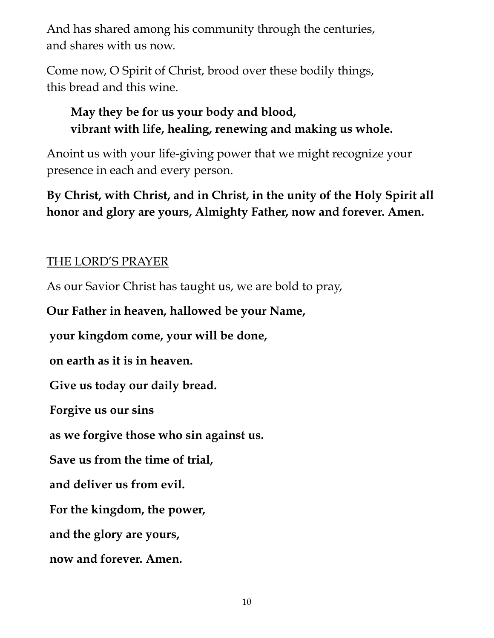And has shared among his community through the centuries, and shares with us now.

Come now, O Spirit of Christ, brood over these bodily things, this bread and this wine.

## **May they be for us your body and blood, vibrant with life, healing, renewing and making us whole.**

Anoint us with your life-giving power that we might recognize your presence in each and every person.

**By Christ, with Christ, and in Christ, in the unity of the Holy Spirit all honor and glory are yours, Almighty Father, now and forever. Amen.**

#### THE LORD'S PRAYER

As our Savior Christ has taught us, we are bold to pray,

**Our Father in heaven, hallowed be your Name,**

**your kingdom come, your will be done,**

**on earth as it is in heaven.**

**Give us today our daily bread.**

**Forgive us our sins**

**as we forgive those who sin against us.**

**Save us from the time of trial,**

**and deliver us from evil.**

**For the kingdom, the power,**

**and the glory are yours,**

**now and forever. Amen.**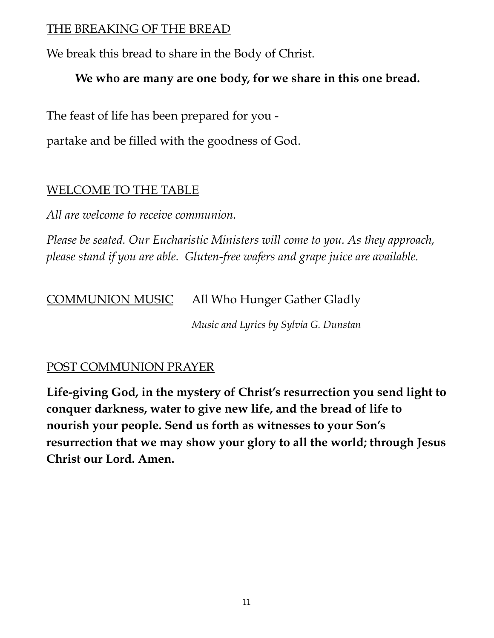#### THE BREAKING OF THE BREAD

We break this bread to share in the Body of Christ.

## **We who are many are one body, for we share in this one bread.**

The feast of life has been prepared for you -

partake and be filled with the goodness of God.

#### WELCOME TO THE TABLE

*All are welcome to receive communion.*

*Please be seated. Our Eucharistic Ministers will come to you. As they approach, please stand if you are able. Gluten-free wafers and grape juice are available.*

COMMUNION MUSIC All Who Hunger Gather Gladly

*Music and Lyrics by Sylvia G. Dunstan*

## POST COMMUNION PRAYER

**Life-giving God, in the mystery of Christ's resurrection you send light to conquer darkness, water to give new life, and the bread of life to nourish your people. Send us forth as witnesses to your Son's resurrection that we may show your glory to all the world; through Jesus Christ our Lord. Amen.**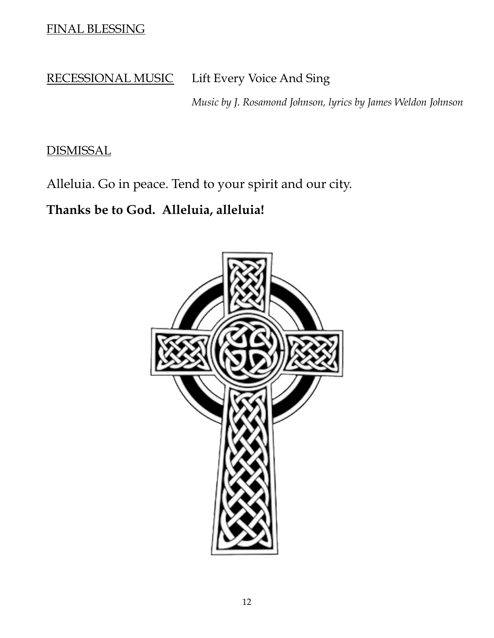#### FINAL BLESSING

#### RECESSIONAL MUSIC Lift Every Voice And Sing

*Music by J. Rosamond Johnson, lyrics by James Weldon Johnson*

#### **DISMISSAL**

Alleluia. Go in peace. Tend to your spirit and our city.

## **Thanks be to God. Alleluia, alleluia!**

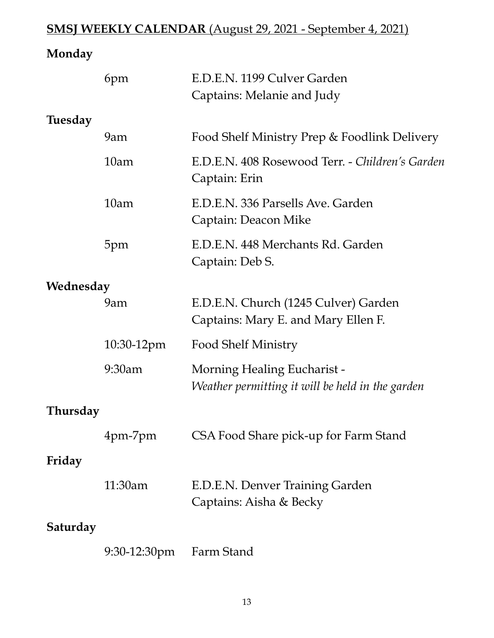## **SMSJ WEEKLY CALENDAR** (August 29, 2021 - September 4, 2021)

| Monday    |                 |                                                                                        |  |
|-----------|-----------------|----------------------------------------------------------------------------------------|--|
|           | 6pm             | E.D.E.N. 1199 Culver Garden<br>Captains: Melanie and Judy                              |  |
| Tuesday   |                 |                                                                                        |  |
|           | 9am             | Food Shelf Ministry Prep & Foodlink Delivery                                           |  |
|           | 10am            | E.D.E.N. 408 Rosewood Terr. - Children's Garden<br>Captain: Erin                       |  |
|           | 10am            | E.D.E.N. 336 Parsells Ave. Garden<br>Captain: Deacon Mike                              |  |
|           | 5pm             | E.D.E.N. 448 Merchants Rd. Garden<br>Captain: Deb S.                                   |  |
| Wednesday |                 |                                                                                        |  |
|           | 9am             | E.D.E.N. Church (1245 Culver) Garden<br>Captains: Mary E. and Mary Ellen F.            |  |
|           | 10:30-12pm      | <b>Food Shelf Ministry</b>                                                             |  |
|           | $9:30$ am       | <b>Morning Healing Eucharist -</b><br>Weather permitting it will be held in the garden |  |
| Thursday  |                 |                                                                                        |  |
|           | $4pm-7pm$       | CSA Food Share pick-up for Farm Stand                                                  |  |
| Friday    |                 |                                                                                        |  |
|           | 11:30am         | E.D.E.N. Denver Training Garden<br>Captains: Aisha & Becky                             |  |
| Saturday  |                 |                                                                                        |  |
|           | $9:30-12:30$ pm | Farm Stand                                                                             |  |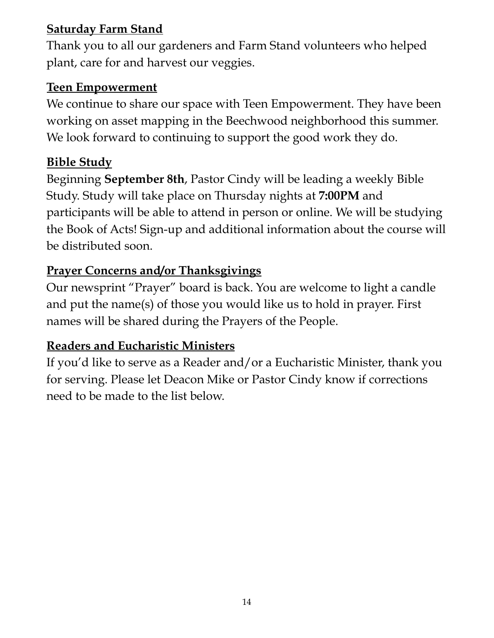## **Saturday Farm Stand**

Thank you to all our gardeners and Farm Stand volunteers who helped plant, care for and harvest our veggies.

## **Teen Empowerment**

We continue to share our space with Teen Empowerment. They have been working on asset mapping in the Beechwood neighborhood this summer. We look forward to continuing to support the good work they do.

# **Bible Study**

Beginning **September 8th**, Pastor Cindy will be leading a weekly Bible Study. Study will take place on Thursday nights at **7:00PM** and participants will be able to attend in person or online. We will be studying the Book of Acts! Sign-up and additional information about the course will be distributed soon.

# **Prayer Concerns and/or Thanksgivings**

Our newsprint "Prayer" board is back. You are welcome to light a candle and put the name(s) of those you would like us to hold in prayer. First names will be shared during the Prayers of the People.

# **Readers and Eucharistic Ministers**

If you'd like to serve as a Reader and/or a Eucharistic Minister, thank you for serving. Please let Deacon Mike or Pastor Cindy know if corrections need to be made to the list below.